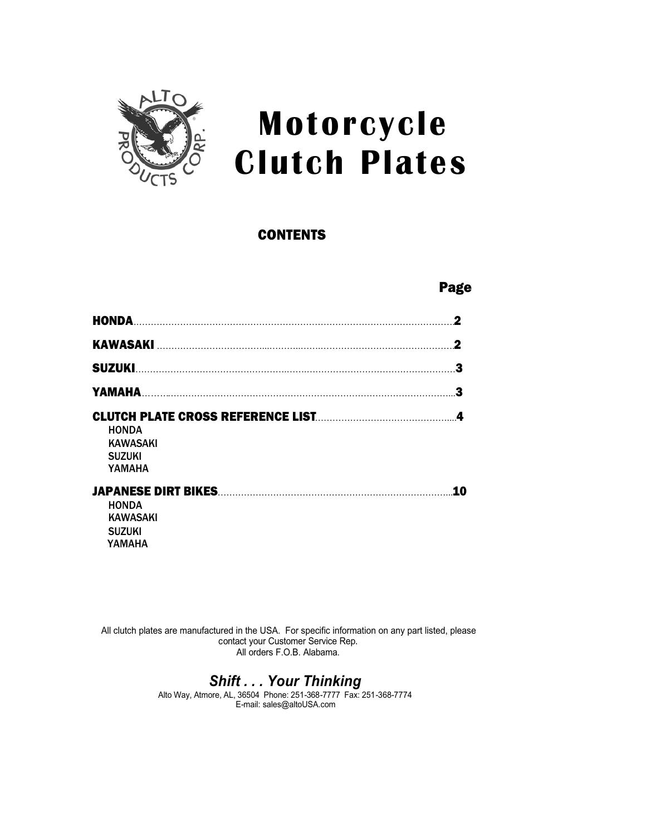

## **Motorcycle Clutch Plates**

#### **CONTENTS** CONTENTS

## Page 2012 and 2012 and 2012 and 2012 and 2012 and 2012 and 2012 and 2012 and 2012 and 2012 and 2012 and 2012 a

| <b>HONDA</b><br>2                                                |
|------------------------------------------------------------------|
| 2                                                                |
|                                                                  |
| 3                                                                |
| 4<br><b>HONDA</b><br><b>KAWASAKI</b><br><b>SUZUKI</b><br>YAMAHA  |
| 10<br><b>HONDA</b><br><b>KAWASAKI</b><br><b>SUZUKI</b><br>YAMAHA |

All clutch plates are manufactured in the USA. For specific information on any part listed, please contact your Customer Service Rep. All orders F.O.B. Alabama.

#### *Shift . . . Your Thinking*

Alto Way, Atmore, AL, 36504 Phone: 251-368-7777 Fax: 251-368-7774 E-mail: sales@altoUSA.com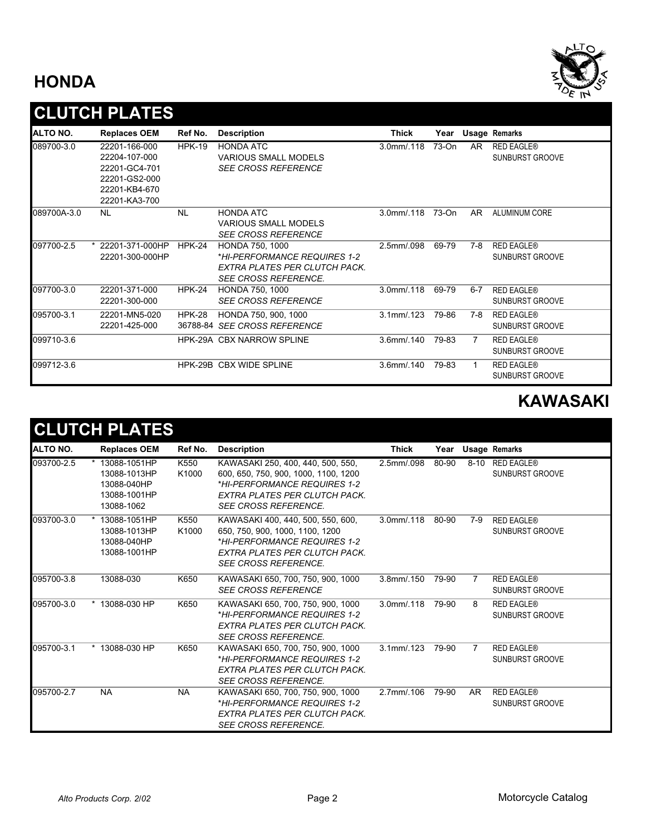#### **HONDA**



## **CLUTCH PLATES**

| ALTO NO.    | <b>Replaces OEM</b> | Ref No.       | <b>Description</b>               | Thick             | Year  |         | Usage Remarks          |
|-------------|---------------------|---------------|----------------------------------|-------------------|-------|---------|------------------------|
| 089700-3.0  | 22201-166-000       | <b>HPK-19</b> | <b>HONDA ATC</b>                 | $3.0$ mm $/0.118$ | 73-On | AR.     | <b>RED EAGLE®</b>      |
|             | 22204-107-000       |               | <b>VARIOUS SMALL MODELS</b>      |                   |       |         | <b>SUNBURST GROOVE</b> |
|             | 22201-GC4-701       |               | <b>SEE CROSS REFERENCE</b>       |                   |       |         |                        |
|             | 22201-GS2-000       |               |                                  |                   |       |         |                        |
|             | 22201-KB4-670       |               |                                  |                   |       |         |                        |
|             | 22201-KA3-700       |               |                                  |                   |       |         |                        |
| 089700A-3.0 | <b>NL</b>           | <b>NL</b>     | <b>HONDA ATC</b>                 | $3.0$ mm $/0.118$ | 73-On | AR.     | ALUMINUM CORE          |
|             |                     |               | <b>VARIOUS SMALL MODELS</b>      |                   |       |         |                        |
|             |                     |               | <b>SEE CROSS REFERENCE</b>       |                   |       |         |                        |
| 097700-2.5  | * 22201-371-000HP   | <b>HPK-24</b> | <b>HONDA 750, 1000</b>           | 2.5mm/.098        | 69-79 | 7-8     | <b>RED EAGLE®</b>      |
|             | 22201-300-000HP     |               | *HI-PERFORMANCE REQUIRES 1-2     |                   |       |         | <b>SUNBURST GROOVE</b> |
|             |                     |               | EXTRA PLATES PER CLUTCH PACK.    |                   |       |         |                        |
|             |                     |               | <b>SEE CROSS REFERENCE.</b>      |                   |       |         |                        |
| 097700-3.0  | 22201-371-000       | <b>HPK-24</b> | HONDA 750, 1000                  | $3.0$ mm $/0.118$ | 69-79 | $6 - 7$ | <b>RED EAGLE®</b>      |
|             | 22201-300-000       |               | <b>SEE CROSS REFERENCE</b>       |                   |       |         | <b>SUNBURST GROOVE</b> |
| 095700-3.1  | 22201-MN5-020       | <b>HPK-28</b> | HONDA 750, 900, 1000             | $3.1$ mm $/0.123$ | 79-86 | 7-8     | <b>RED EAGLE®</b>      |
|             | 22201-425-000       |               | 36788-84 SEE CROSS REFERENCE     |                   |       |         | SUNBURST GROOVE        |
| 099710-3.6  |                     |               | <b>HPK-29A CBX NARROW SPLINE</b> | $3.6$ mm $/0.140$ | 79-83 | 7       | <b>RED EAGLE®</b>      |
|             |                     |               |                                  |                   |       |         | <b>SUNBURST GROOVE</b> |
| 099712-3.6  |                     |               | HPK-29B CBX WIDE SPLINE          | $3.6$ mm $/0.140$ | 79-83 | 1       | <b>RED EAGLE®</b>      |
|             |                     |               |                                  |                   |       |         | <b>SUNBURST GROOVE</b> |

## **KAWASAKI**

## **CLUTCH PLATES**

| ALTO NO.   | <b>Replaces OEM</b>                                                       | Ref No.       | <b>Description</b>                                                                                                                                                        | <b>Thick</b>      |           |                | Year Usage Remarks                   |
|------------|---------------------------------------------------------------------------|---------------|---------------------------------------------------------------------------------------------------------------------------------------------------------------------------|-------------------|-----------|----------------|--------------------------------------|
| 093700-2.5 | 13088-1051HP<br>13088-1013HP<br>13088-040HP<br>13088-1001HP<br>13088-1062 | K550<br>K1000 | KAWASAKI 250, 400, 440, 500, 550,<br>600, 650, 750, 900, 1000, 1100, 1200<br>*HI-PERFORMANCE REQUIRES 1-2<br>EXTRA PLATES PER CLUTCH PACK.<br><b>SEE CROSS REFERENCE.</b> | 2.5mm/.098        | $80 - 90$ | $8-10$         | <b>RED EAGLE®</b><br>SUNBURST GROOVE |
| 093700-3.0 | * 13088-1051HP<br>13088-1013HP<br>13088-040HP<br>13088-1001HP             | K550<br>K1000 | KAWASAKI 400, 440, 500, 550, 600,<br>650, 750, 900, 1000, 1100, 1200<br>*HI-PERFORMANCE REQUIRES 1-2<br>EXTRA PLATES PER CLUTCH PACK.<br><b>SEE CROSS REFERENCE.</b>      | $3.0$ mm $/0.118$ | 80-90     | $7-9$          | <b>RED EAGLE®</b><br>SUNBURST GROOVE |
| 095700-3.8 | 13088-030                                                                 | K650          | KAWASAKI 650, 700, 750, 900, 1000<br><b>SEE CROSS REFERENCE</b>                                                                                                           | $3.8$ mm $/0.150$ | 79-90     | $\overline{7}$ | <b>RED EAGLE®</b><br>SUNBURST GROOVE |
| 095700-3.0 | * 13088-030 HP                                                            | K650          | KAWASAKI 650, 700, 750, 900, 1000<br>*HI-PERFORMANCE REQUIRES 1-2<br>EXTRA PLATES PER CLUTCH PACK.<br><b>SEE CROSS REFERENCE.</b>                                         | $3.0$ mm $/0.118$ | 79-90     | 8              | <b>RED EAGLE®</b><br>SUNBURST GROOVE |
| 095700-3.1 | * 13088-030 HP                                                            | K650          | KAWASAKI 650, 700, 750, 900, 1000<br>*HI-PERFORMANCE REQUIRES 1-2<br>EXTRA PLATES PER CLUTCH PACK.<br><b>SEE CROSS REFERENCE.</b>                                         | $3.1$ mm $/0.123$ | 79-90     | 7              | <b>RED EAGLE®</b><br>SUNBURST GROOVE |
| 095700-2.7 | <b>NA</b>                                                                 | <b>NA</b>     | KAWASAKI 650, 700, 750, 900, 1000<br>*HI-PERFORMANCE REQUIRES 1-2<br>EXTRA PLATES PER CLUTCH PACK.<br><b>SEE CROSS REFERENCE.</b>                                         | 2.7mm/.106        | 79-90     | AR.            | <b>RED EAGLE®</b><br>SUNBURST GROOVE |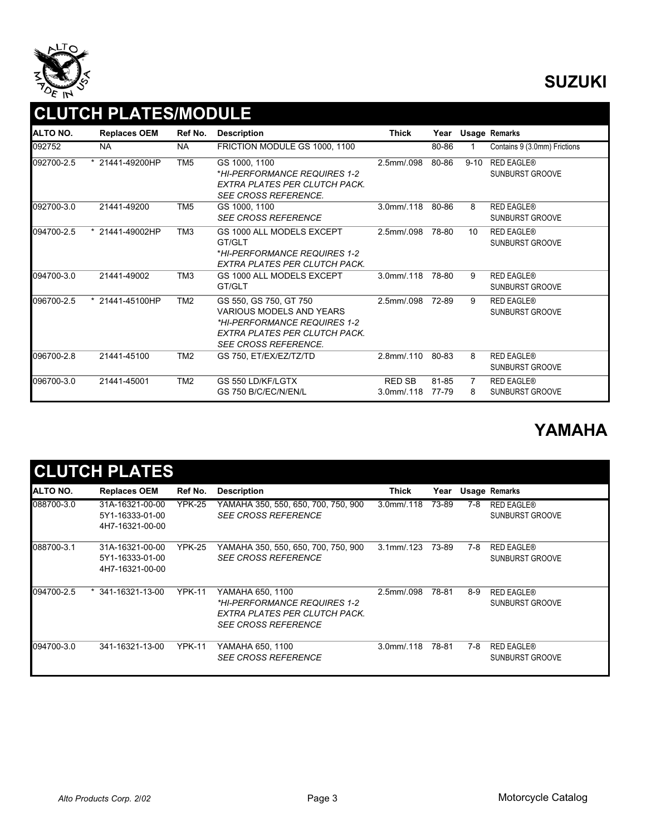

## **SUZUKI**

## **CLUTCH PLATES/MODULE**

| ALTO NO.   | <b>Replaces OEM</b>           | Ref No.         | <b>Description</b>                                                                                                                                        | Thick                              | Year           |          | <b>Usage Remarks</b>                        |
|------------|-------------------------------|-----------------|-----------------------------------------------------------------------------------------------------------------------------------------------------------|------------------------------------|----------------|----------|---------------------------------------------|
| 092752     | <b>NA</b>                     | <b>NA</b>       | FRICTION MODULE GS 1000, 1100                                                                                                                             |                                    | 80-86          |          | Contains 9 (3.0mm) Frictions                |
| 092700-2.5 | * 21441-49200HP               | TM <sub>5</sub> | GS 1000, 1100<br>*HI-PERFORMANCE REQUIRES 1-2<br>EXTRA PLATES PER CLUTCH PACK.<br><b>SEE CROSS REFERENCE.</b>                                             | 2.5mm/.098                         | 80-86          | $9 - 10$ | <b>RED EAGLE®</b><br><b>SUNBURST GROOVE</b> |
| 092700-3.0 | 21441-49200                   | TM <sub>5</sub> | GS 1000, 1100<br><b>SEE CROSS REFERENCE</b>                                                                                                               | $3.0$ mm $/0.118$                  | 80-86          | 8        | <b>RED EAGLE®</b><br>SUNBURST GROOVE        |
| 094700-2.5 | $\overline{121441} - 49002HP$ | TM <sub>3</sub> | GS 1000 ALL MODELS EXCEPT<br>GT/GLT<br>*HI-PERFORMANCE REQUIRES 1-2<br>EXTRA PLATES PER CLUTCH PACK.                                                      | 2.5mm/.098                         | 78-80          | 10       | <b>RED EAGLE®</b><br>SUNBURST GROOVE        |
| 094700-3.0 | 21441-49002                   | TM <sub>3</sub> | GS 1000 ALL MODELS EXCEPT<br>GT/GLT                                                                                                                       | $3.0$ mm $/0.118$                  | 78-80          | 9        | <b>RED EAGLE®</b><br><b>SUNBURST GROOVE</b> |
| 096700-2.5 | * 21441-45100HP               | TM <sub>2</sub> | GS 550, GS 750, GT 750<br><b>VARIOUS MODELS AND YEARS</b><br>*HI-PERFORMANCE REQUIRES 1-2<br>EXTRA PLATES PER CLUTCH PACK.<br><b>SEE CROSS REFERENCE.</b> | 2.5mm/.098                         | 72-89          | 9        | <b>RED EAGLE®</b><br>SUNBURST GROOVE        |
| 096700-2.8 | 21441-45100                   | TM <sub>2</sub> | GS 750, ET/EX/EZ/TZ/TD                                                                                                                                    | 2.8mm/.110                         | 80-83          | 8        | <b>RED EAGLE®</b><br><b>SUNBURST GROOVE</b> |
| 096700-3.0 | 21441-45001                   | TM <sub>2</sub> | GS 550 LD/KF/LGTX<br>GS 750 B/C/EC/N/EN/L                                                                                                                 | <b>RED SB</b><br>$3.0$ mm $/0.118$ | 81-85<br>77-79 | 7<br>8   | <b>RED EAGLE®</b><br><b>SUNBURST GROOVE</b> |

## **YAMAHA**

|            | <b>CLUTCH PLATES</b>                                  |               |                                                                                                                 |                   |       |     |                                      |
|------------|-------------------------------------------------------|---------------|-----------------------------------------------------------------------------------------------------------------|-------------------|-------|-----|--------------------------------------|
| ALTO NO.   | <b>Replaces OEM</b>                                   | Ref No.       | <b>Description</b>                                                                                              | Thick             | Year  |     | <b>Usage Remarks</b>                 |
| 088700-3.0 | 31A-16321-00-00<br>5Y1-16333-01-00<br>4H7-16321-00-00 | <b>YPK-25</b> | YAMAHA 350, 550, 650, 700, 750, 900<br><b>SEE CROSS REFERENCE</b>                                               | $3.0$ mm $/0.118$ | 73-89 | 7-8 | <b>RED EAGLE®</b><br>SUNBURST GROOVE |
| 088700-3.1 | 31A-16321-00-00<br>5Y1-16333-01-00<br>4H7-16321-00-00 | <b>YPK-25</b> | YAMAHA 350, 550, 650, 700, 750, 900<br><b>SEE CROSS REFERENCE</b>                                               | $3.1$ mm $/0.123$ | 73-89 | 7-8 | <b>RED EAGLE®</b><br>SUNBURST GROOVE |
| 094700-2.5 | $*$ 341-16321-13-00                                   | <b>YPK-11</b> | YAMAHA 650, 1100<br>*HI-PERFORMANCE REQUIRES 1-2<br>EXTRA PLATES PER CLUTCH PACK.<br><i>SEE CROSS REFERENCE</i> | 2.5mm/.098        | 78-81 | 8-9 | <b>RED EAGLE®</b><br>SUNBURST GROOVE |
| 094700-3.0 | 341-16321-13-00                                       | <b>YPK-11</b> | YAMAHA 650. 1100<br><b>SEE CROSS REFERENCE</b>                                                                  | $3.0$ mm $/0.118$ | 78-81 | 7-8 | <b>RED EAGLE®</b><br>SUNBURST GROOVE |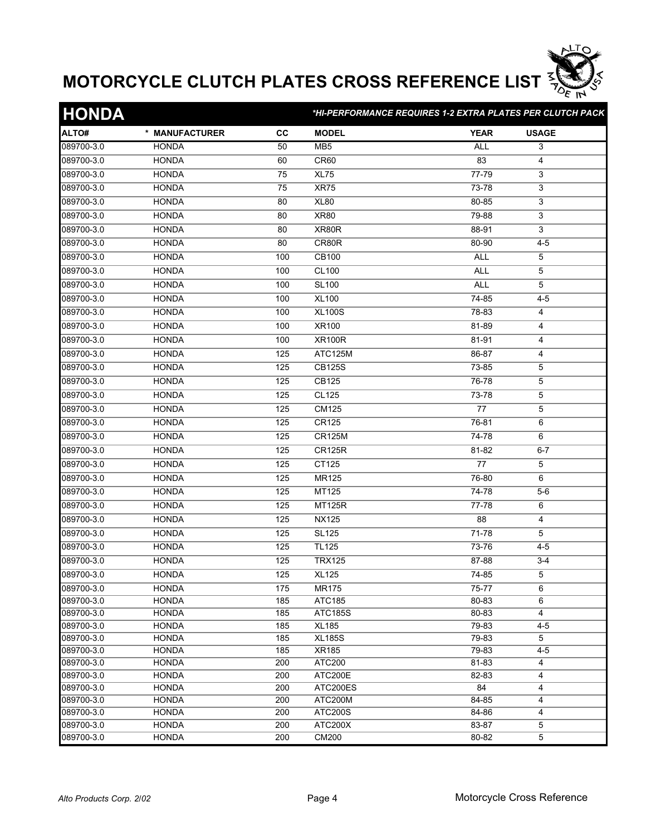

| <b>HONDA</b> |                |           |                 | *HI-PERFORMANCE REQUIRES 1-2 EXTRA PLATES PER CLUTCH PACK |              |  |
|--------------|----------------|-----------|-----------------|-----------------------------------------------------------|--------------|--|
| ALTO#        | * MANUFACTURER | <b>CC</b> | <b>MODEL</b>    | <b>YEAR</b>                                               | <b>USAGE</b> |  |
| 089700-3.0   | <b>HONDA</b>   | 50        | MB <sub>5</sub> | <b>ALL</b>                                                | 3            |  |
| 089700-3.0   | <b>HONDA</b>   | 60        | CR60            | 83                                                        | 4            |  |
| 089700-3.0   | <b>HONDA</b>   | 75        | <b>XL75</b>     | 77-79                                                     | 3            |  |
| 089700-3.0   | <b>HONDA</b>   | 75        | XR75            | 73-78                                                     | 3            |  |
| 089700-3.0   | <b>HONDA</b>   | 80        | <b>XL80</b>     | 80-85                                                     | 3            |  |
| 089700-3.0   | <b>HONDA</b>   | 80        | <b>XR80</b>     | 79-88                                                     | 3            |  |
| 089700-3.0   | <b>HONDA</b>   | 80        | XR80R           | 88-91                                                     | 3            |  |
| 089700-3.0   | <b>HONDA</b>   | 80        | CR80R           | 80-90                                                     | $4 - 5$      |  |
| 089700-3.0   | <b>HONDA</b>   | 100       | CB100           | <b>ALL</b>                                                | 5            |  |
| 089700-3.0   | <b>HONDA</b>   | 100       | <b>CL100</b>    | <b>ALL</b>                                                | 5            |  |
| 089700-3.0   | <b>HONDA</b>   | 100       | <b>SL100</b>    | <b>ALL</b>                                                | 5            |  |
| 089700-3.0   | <b>HONDA</b>   | 100       | <b>XL100</b>    | 74-85                                                     | $4 - 5$      |  |
| 089700-3.0   | <b>HONDA</b>   | 100       | <b>XL100S</b>   | 78-83                                                     | 4            |  |
| 089700-3.0   | <b>HONDA</b>   | 100       | XR100           | 81-89                                                     | 4            |  |
| 089700-3.0   | <b>HONDA</b>   | 100       | <b>XR100R</b>   | 81-91                                                     | 4            |  |
| 089700-3.0   | <b>HONDA</b>   | 125       | ATC125M         | 86-87                                                     | 4            |  |
|              |                |           |                 |                                                           |              |  |
| 089700-3.0   | <b>HONDA</b>   | 125       | <b>CB125S</b>   | 73-85                                                     | 5            |  |
| 089700-3.0   | <b>HONDA</b>   | 125       | CB125           | 76-78                                                     | 5            |  |
| 089700-3.0   | <b>HONDA</b>   | 125       | <b>CL125</b>    | 73-78                                                     | 5            |  |
| 089700-3.0   | <b>HONDA</b>   | 125       | CM125           | 77                                                        | 5            |  |
| 089700-3.0   | <b>HONDA</b>   | 125       | CR125           | 76-81                                                     | 6            |  |
| 089700-3.0   | <b>HONDA</b>   | 125       | <b>CR125M</b>   | 74-78                                                     | 6            |  |
| 089700-3.0   | <b>HONDA</b>   | 125       | <b>CR125R</b>   | 81-82                                                     | $6 - 7$      |  |
| 089700-3.0   | <b>HONDA</b>   | 125       | CT125           | 77                                                        | 5            |  |
| 089700-3.0   | <b>HONDA</b>   | 125       | MR125           | 76-80                                                     | 6            |  |
| 089700-3.0   | <b>HONDA</b>   | 125       | MT125           | 74-78                                                     | $5-6$        |  |
| 089700-3.0   | <b>HONDA</b>   | 125       | <b>MT125R</b>   | 77-78                                                     | 6            |  |
| 089700-3.0   | <b>HONDA</b>   | 125       | <b>NX125</b>    | 88                                                        | 4            |  |
| 089700-3.0   | <b>HONDA</b>   | 125       | <b>SL125</b>    | 71-78                                                     | 5            |  |
| 089700-3.0   | <b>HONDA</b>   | 125       | <b>TL125</b>    | 73-76                                                     | 4-5          |  |
| 089700-3.0   | <b>HONDA</b>   | 125       | <b>TRX125</b>   | 87-88                                                     | $3 - 4$      |  |
| 089700-3.0   | <b>HONDA</b>   | 125       | <b>XL125</b>    | 74-85                                                     | 5            |  |
| 089700-3.0   | <b>HONDA</b>   | 175       | <b>MR175</b>    | 75-77                                                     | 6            |  |
| 089700-3.0   | <b>HONDA</b>   | 185       | ATC185          | 80-83                                                     | 6            |  |
| 089700-3.0   | <b>HONDA</b>   | 185       | <b>ATC185S</b>  | 80-83                                                     | 4            |  |
| 089700-3.0   | <b>HONDA</b>   | 185       | <b>XL185</b>    | 79-83                                                     | $4 - 5$      |  |
| 089700-3.0   | <b>HONDA</b>   | 185       | <b>XL185S</b>   | 79-83                                                     | 5            |  |
| 089700-3.0   | <b>HONDA</b>   | 185       | XR185           | 79-83                                                     | $4 - 5$      |  |
| 089700-3.0   | <b>HONDA</b>   | 200       | ATC200          | $81 - 83$                                                 | 4            |  |
| 089700-3.0   | <b>HONDA</b>   | 200       | ATC200E         | 82-83                                                     | 4            |  |
| 089700-3.0   | <b>HONDA</b>   | 200       | ATC200ES        | 84                                                        | 4            |  |
| 089700-3.0   | <b>HONDA</b>   | 200       | ATC200M         | 84-85                                                     | 4            |  |
| 089700-3.0   | <b>HONDA</b>   | 200       | <b>ATC200S</b>  | 84-86                                                     | 4            |  |
| 089700-3.0   | <b>HONDA</b>   | 200       | ATC200X         | 83-87                                                     | 5            |  |
| 089700-3.0   | <b>HONDA</b>   | 200       | CM200           | 80-82                                                     | 5            |  |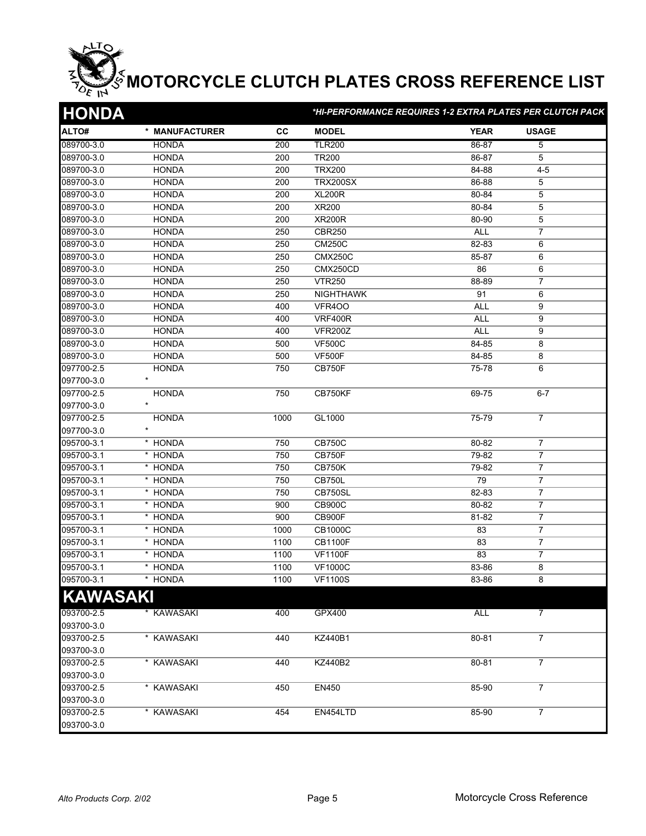| <b>HONDA</b>    |                 |           | *HI-PERFORMANCE REQUIRES 1-2 EXTRA PLATES PER CLUTCH PACK |             |                  |  |  |
|-----------------|-----------------|-----------|-----------------------------------------------------------|-------------|------------------|--|--|
| ALTO#           | * MANUFACTURER  | <b>CC</b> | <b>MODEL</b>                                              | <b>YEAR</b> | <b>USAGE</b>     |  |  |
| 089700-3.0      | <b>HONDA</b>    | 200       | <b>TLR200</b>                                             | 86-87       | $\overline{5}$   |  |  |
| 089700-3.0      | <b>HONDA</b>    | 200       | <b>TR200</b>                                              | 86-87       | 5                |  |  |
| 089700-3.0      | <b>HONDA</b>    | 200       | <b>TRX200</b>                                             | 84-88       | $4 - 5$          |  |  |
| 089700-3.0      | <b>HONDA</b>    | 200       | <b>TRX200SX</b>                                           | 86-88       | 5                |  |  |
| 089700-3.0      | <b>HONDA</b>    | 200       | <b>XL200R</b>                                             | 80-84       | 5                |  |  |
| 089700-3.0      | <b>HONDA</b>    | 200       | XR200                                                     | 80-84       | 5                |  |  |
| 089700-3.0      | <b>HONDA</b>    | 200       | <b>XR200R</b>                                             | 80-90       | $\,$ 5 $\,$      |  |  |
| 089700-3.0      | <b>HONDA</b>    | 250       | <b>CBR250</b>                                             | <b>ALL</b>  | $\overline{7}$   |  |  |
| 089700-3.0      | <b>HONDA</b>    | 250       | <b>CM250C</b>                                             | 82-83       | 6                |  |  |
| 089700-3.0      | <b>HONDA</b>    | 250       | <b>CMX250C</b>                                            | 85-87       | 6                |  |  |
| 089700-3.0      | <b>HONDA</b>    | 250       | CMX250CD                                                  | 86          | 6                |  |  |
| 089700-3.0      | <b>HONDA</b>    | 250       | <b>VTR250</b>                                             | 88-89       | $\overline{7}$   |  |  |
| 089700-3.0      | <b>HONDA</b>    | 250       | <b>NIGHTHAWK</b>                                          | 91          | 6                |  |  |
| 089700-3.0      | <b>HONDA</b>    | 400       | <b>VFR400</b>                                             | <b>ALL</b>  | 9                |  |  |
| 089700-3.0      | <b>HONDA</b>    | 400       | <b>VRF400R</b>                                            | <b>ALL</b>  | 9                |  |  |
| 089700-3.0      | <b>HONDA</b>    | 400       | <b>VFR200Z</b>                                            | <b>ALL</b>  | 9                |  |  |
| 089700-3.0      | <b>HONDA</b>    | 500       | <b>VF500C</b>                                             | 84-85       | 8                |  |  |
| 089700-3.0      | <b>HONDA</b>    | 500       | <b>VF500F</b>                                             | 84-85       | 8                |  |  |
| 097700-2.5      | <b>HONDA</b>    | 750       | <b>CB750F</b>                                             | 75-78       | 6                |  |  |
| 097700-3.0      | $\star$         |           |                                                           |             |                  |  |  |
| 097700-2.5      | <b>HONDA</b>    | 750       | CB750KF                                                   | $69 - 75$   | $6 - 7$          |  |  |
| 097700-3.0      | $\star$         |           |                                                           |             |                  |  |  |
| 097700-2.5      | <b>HONDA</b>    | 1000      | GL1000                                                    | $75 - 79$   | $\overline{7}$   |  |  |
| 097700-3.0      |                 |           |                                                           |             |                  |  |  |
| 095700-3.1      | * HONDA         | 750       | <b>CB750C</b>                                             | 80-82       | $\overline{7}$   |  |  |
| 095700-3.1      | * HONDA         | 750       | <b>CB750F</b>                                             | 79-82       | $\overline{7}$   |  |  |
| 095700-3.1      | * HONDA         | 750       | <b>CB750K</b>                                             | 79-82       | $\overline{7}$   |  |  |
| 095700-3.1      | * HONDA         | 750       | <b>CB750L</b>                                             | 79          | $\overline{7}$   |  |  |
| 095700-3.1      | * HONDA         | 750       | CB750SL                                                   | 82-83       | $\overline{7}$   |  |  |
| 095700-3.1      | * HONDA         | 900       | <b>CB900C</b>                                             | 80-82       | $\overline{7}$   |  |  |
| 095700-3.1      | * HONDA         | 900       | CB900F                                                    | 81-82       | 7                |  |  |
| 095700-3.1      | * HONDA         | 1000      | <b>CB1000C</b>                                            | 83          | $\overline{7}$   |  |  |
| 095700-3.1      | * HONDA         | 1100      | <b>CB1100F</b>                                            | 83          | $\boldsymbol{7}$ |  |  |
| 095700-3.1      | * HONDA         | 1100      | <b>VF1100F</b>                                            | 83          | $\overline{7}$   |  |  |
| 095700-3.1      | * HONDA         | 1100      | <b>VF1000C</b>                                            | 83-86       | 8                |  |  |
| 095700-3.1      | * HONDA         | 1100      | <b>VF1100S</b>                                            | 83-86       | ୪                |  |  |
| <b>KAWASAKI</b> |                 |           |                                                           |             |                  |  |  |
| 093700-2.5      | <b>KAWASAKI</b> | 400       | <b>GPX400</b>                                             | <b>ALL</b>  | $\overline{7}$   |  |  |
| 093700-3.0      |                 |           |                                                           |             |                  |  |  |
| 093700-2.5      | * KAWASAKI      | 440       | KZ440B1                                                   | 80-81       | $\overline{7}$   |  |  |
| 093700-3.0      |                 |           |                                                           |             |                  |  |  |
| 093700-2.5      | * KAWASAKI      | 440       | KZ440B2                                                   | 80-81       | $\overline{7}$   |  |  |
| 093700-3.0      |                 |           |                                                           |             |                  |  |  |
| 093700-2.5      | * KAWASAKI      | 450       | EN450                                                     | 85-90       | $\overline{7}$   |  |  |
| 093700-3.0      |                 |           |                                                           |             |                  |  |  |
| 093700-2.5      | * KAWASAKI      | 454       | EN454LTD                                                  | 85-90       | $\overline{7}$   |  |  |
| 093700-3.0      |                 |           |                                                           |             |                  |  |  |
|                 |                 |           |                                                           |             |                  |  |  |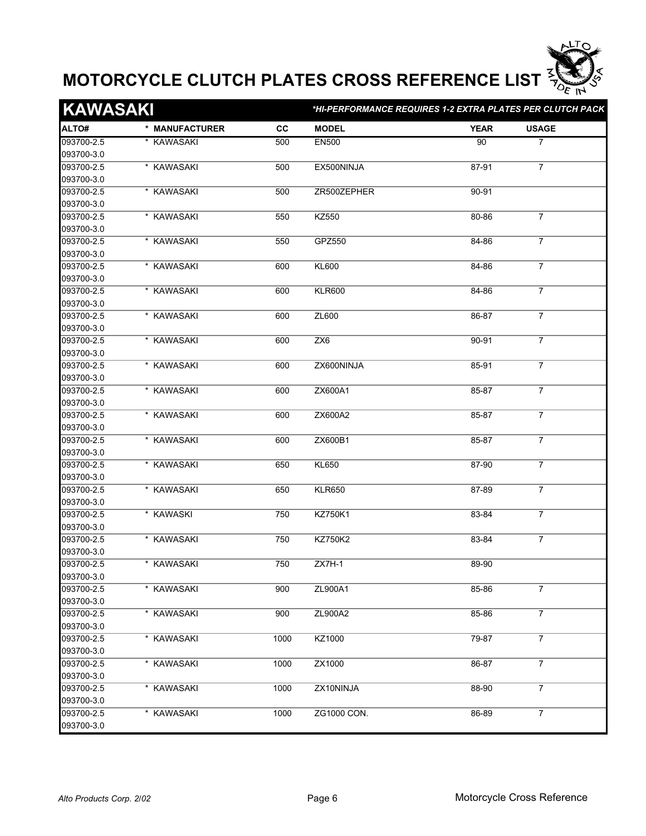

| <b>KAWASAKI</b> |                |           | *HI-PERFORMANCE REQUIRES 1-2 EXTRA PLATES PER CLUTCH PACK |             |                |  |
|-----------------|----------------|-----------|-----------------------------------------------------------|-------------|----------------|--|
| ALTO#           | * MANUFACTURER | <b>CC</b> | <b>MODEL</b>                                              | <b>YEAR</b> | <b>USAGE</b>   |  |
| 093700-2.5      | * KAWASAKI     | 500       | <b>EN500</b>                                              | 90          | 7              |  |
| 093700-3.0      |                |           |                                                           |             |                |  |
| 093700-2.5      | * KAWASAKI     | 500       | EX500NINJA                                                | 87-91       | $\overline{7}$ |  |
| 093700-3.0      |                |           |                                                           |             |                |  |
| 093700-2.5      | * KAWASAKI     | 500       | ZR500ZEPHER                                               | 90-91       |                |  |
| 093700-3.0      |                |           |                                                           |             |                |  |
| 093700-2.5      | * KAWASAKI     | 550       | <b>KZ550</b>                                              | 80-86       | $\overline{7}$ |  |
| 093700-3.0      |                |           |                                                           |             |                |  |
| 093700-2.5      | * KAWASAKI     | 550       | GPZ550                                                    | 84-86       | $\overline{7}$ |  |
| 093700-3.0      |                |           |                                                           |             |                |  |
| 093700-2.5      | * KAWASAKI     | 600       | <b>KL600</b>                                              | 84-86       | $\overline{7}$ |  |
| 093700-3.0      |                |           |                                                           |             |                |  |
| 093700-2.5      | * KAWASAKI     | 600       | <b>KLR600</b>                                             | 84-86       | $\overline{7}$ |  |
| 093700-3.0      |                |           |                                                           |             |                |  |
| 093700-2.5      | * KAWASAKI     | 600       | ZL600                                                     | 86-87       | $\overline{7}$ |  |
| 093700-3.0      |                |           |                                                           |             |                |  |
| 093700-2.5      | * KAWASAKI     | 600       | ZX6                                                       | 90-91       | $\overline{7}$ |  |
| 093700-3.0      |                |           |                                                           |             |                |  |
| 093700-2.5      | * KAWASAKI     | 600       | ZX600NINJA                                                | 85-91       | $\overline{7}$ |  |
| 093700-3.0      |                |           |                                                           |             |                |  |
| 093700-2.5      | * KAWASAKI     | 600       | ZX600A1                                                   | 85-87       | $\overline{7}$ |  |
| 093700-3.0      |                |           |                                                           |             |                |  |
| 093700-2.5      | * KAWASAKI     | 600       | ZX600A2                                                   | 85-87       | $\overline{7}$ |  |
| 093700-3.0      |                |           |                                                           |             |                |  |
| 093700-2.5      | * KAWASAKI     | 600       | ZX600B1                                                   | 85-87       | $\overline{7}$ |  |
| 093700-3.0      |                |           |                                                           |             |                |  |
| 093700-2.5      | * KAWASAKI     | 650       | <b>KL650</b>                                              | 87-90       | $\overline{7}$ |  |
| 093700-3.0      |                |           |                                                           |             |                |  |
| 093700-2.5      | * KAWASAKI     | 650       | <b>KLR650</b>                                             | 87-89       | $\overline{7}$ |  |
| 093700-3.0      |                |           |                                                           |             |                |  |
| 093700-2.5      | * KAWASKI      | 750       | KZ750K1                                                   | 83-84       | $\overline{7}$ |  |
| 093700-3.0      |                |           |                                                           |             |                |  |
| 093700-2.5      | * KAWASAKI     | 750       | KZ750K2                                                   | 83-84       | $\overline{7}$ |  |
| 093700-3.0      |                |           |                                                           |             |                |  |
| 093700-2.5      | * KAWASAKI     | 750       | $ZX7H-1$                                                  | 89-90       |                |  |
| 093700-3.0      |                |           |                                                           |             |                |  |
| 093700-2.5      | * KAWASAKI     | 900       | ZL900A1                                                   | 85-86       | $\overline{7}$ |  |
| 093700-3.0      |                |           |                                                           |             |                |  |
| 093700-2.5      | * KAWASAKI     | 900       | ZL900A2                                                   | 85-86       | $\overline{7}$ |  |
| 093700-3.0      |                |           |                                                           |             |                |  |
| 093700-2.5      | * KAWASAKI     | 1000      | KZ1000                                                    | 79-87       | $\overline{7}$ |  |
| 093700-3.0      |                |           |                                                           |             |                |  |
| 093700-2.5      | * KAWASAKI     | 1000      | ZX1000                                                    | 86-87       | $\overline{7}$ |  |
| 093700-3.0      |                |           |                                                           |             |                |  |
| 093700-2.5      | * KAWASAKI     | 1000      | ZX10NINJA                                                 | 88-90       | $\overline{7}$ |  |
| 093700-3.0      |                |           |                                                           |             |                |  |
| 093700-2.5      | * KAWASAKI     | 1000      | ZG1000 CON.                                               | 86-89       | $\overline{7}$ |  |
| 093700-3.0      |                |           |                                                           |             |                |  |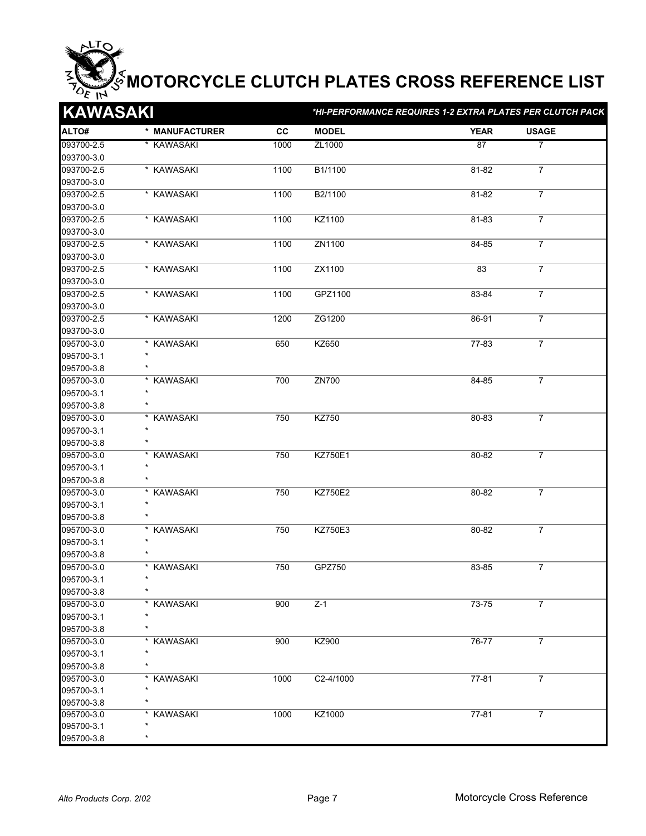| <b>KAWASAKI</b> |                |           | *HI-PERFORMANCE REQUIRES 1-2 EXTRA PLATES PER CLUTCH PACK |             |                |  |  |
|-----------------|----------------|-----------|-----------------------------------------------------------|-------------|----------------|--|--|
| ALTO#           | * MANUFACTURER | <b>CC</b> | <b>MODEL</b>                                              | <b>YEAR</b> | <b>USAGE</b>   |  |  |
| 093700-2.5      | * KAWASAKI     | 1000      | ZL1000                                                    | 87          | 7              |  |  |
| 093700-3.0      |                |           |                                                           |             |                |  |  |
| 093700-2.5      | * KAWASAKI     | 1100      | B1/1100                                                   | 81-82       | $\overline{7}$ |  |  |
| 093700-3.0      |                |           |                                                           |             |                |  |  |
| 093700-2.5      | * KAWASAKI     | 1100      | B <sub>2</sub> /1100                                      | 81-82       | $\overline{7}$ |  |  |
| 093700-3.0      |                |           |                                                           |             |                |  |  |
| 093700-2.5      | * KAWASAKI     | 1100      | KZ1100                                                    | $81 - 83$   | $\overline{7}$ |  |  |
| 093700-3.0      |                |           |                                                           |             |                |  |  |
| 093700-2.5      | * KAWASAKI     | 1100      | ZN1100                                                    | 84-85       | $\overline{7}$ |  |  |
| 093700-3.0      |                |           |                                                           |             |                |  |  |
| 093700-2.5      | * KAWASAKI     | 1100      | ZX1100                                                    | 83          | $\overline{7}$ |  |  |
| 093700-3.0      |                |           |                                                           |             |                |  |  |
| 093700-2.5      | * KAWASAKI     | 1100      | GPZ1100                                                   | 83-84       | $\overline{7}$ |  |  |
| 093700-3.0      |                |           |                                                           |             |                |  |  |
| 093700-2.5      | * KAWASAKI     | 1200      | ZG1200                                                    | 86-91       | $\overline{7}$ |  |  |
| 093700-3.0      |                |           |                                                           |             |                |  |  |
| 095700-3.0      | * KAWASAKI     | 650       | KZ650                                                     | 77-83       | $\overline{7}$ |  |  |
| 095700-3.1      |                |           |                                                           |             |                |  |  |
| 095700-3.8      |                |           |                                                           |             |                |  |  |
| 095700-3.0      | * KAWASAKI     | 700       | ZN700                                                     | 84-85       | $\overline{7}$ |  |  |
| 095700-3.1      |                |           |                                                           |             |                |  |  |
| 095700-3.8      |                |           |                                                           |             |                |  |  |
| 095700-3.0      | * KAWASAKI     | 750       | <b>KZ750</b>                                              | 80-83       | $\overline{7}$ |  |  |
| 095700-3.1      |                |           |                                                           |             |                |  |  |
| 095700-3.8      |                |           |                                                           |             |                |  |  |
| 095700-3.0      | * KAWASAKI     | 750       | KZ750E1                                                   | 80-82       | $\overline{7}$ |  |  |
| 095700-3.1      |                |           |                                                           |             |                |  |  |
| 095700-3.8      |                |           |                                                           |             |                |  |  |
| 095700-3.0      | * KAWASAKI     | 750       | <b>KZ750E2</b>                                            | 80-82       | $\overline{7}$ |  |  |
| 095700-3.1      | $\star$        |           |                                                           |             |                |  |  |
| 095700-3.8      |                |           |                                                           |             |                |  |  |
| 095700-3.0      | * KAWASAKI     | 750       | <b>KZ750E3</b>                                            | 80-82       | $\overline{7}$ |  |  |
| 095700-3.1      |                |           |                                                           |             |                |  |  |
| 095700-3.8      |                |           |                                                           |             |                |  |  |
| 095700-3.0      | * KAWASAKI     | 750       | GPZ750                                                    | 83-85       | $\overline{7}$ |  |  |
| 095700-3.1      |                |           |                                                           |             |                |  |  |
| 095700-3.8      |                |           |                                                           |             |                |  |  |
| 095700-3.0      | * KAWASAKI     | 900       | $Z-1$                                                     | 73-75       | $\overline{7}$ |  |  |
| 095700-3.1      |                |           |                                                           |             |                |  |  |
| 095700-3.8      |                |           |                                                           |             |                |  |  |
| 095700-3.0      | * KAWASAKI     | 900       | KZ900                                                     | 76-77       | $\overline{7}$ |  |  |
| 095700-3.1      |                |           |                                                           |             |                |  |  |
| 095700-3.8      |                |           |                                                           |             |                |  |  |
| 095700-3.0      | * KAWASAKI     | 1000      | C2-4/1000                                                 | 77-81       | $\overline{7}$ |  |  |
| 095700-3.1      |                |           |                                                           |             |                |  |  |
| 095700-3.8      |                |           |                                                           |             |                |  |  |
| 095700-3.0      | * KAWASAKI     | 1000      | KZ1000                                                    | $77 - 81$   | $\overline{7}$ |  |  |
| 095700-3.1      |                |           |                                                           |             |                |  |  |
| 095700-3.8      |                |           |                                                           |             |                |  |  |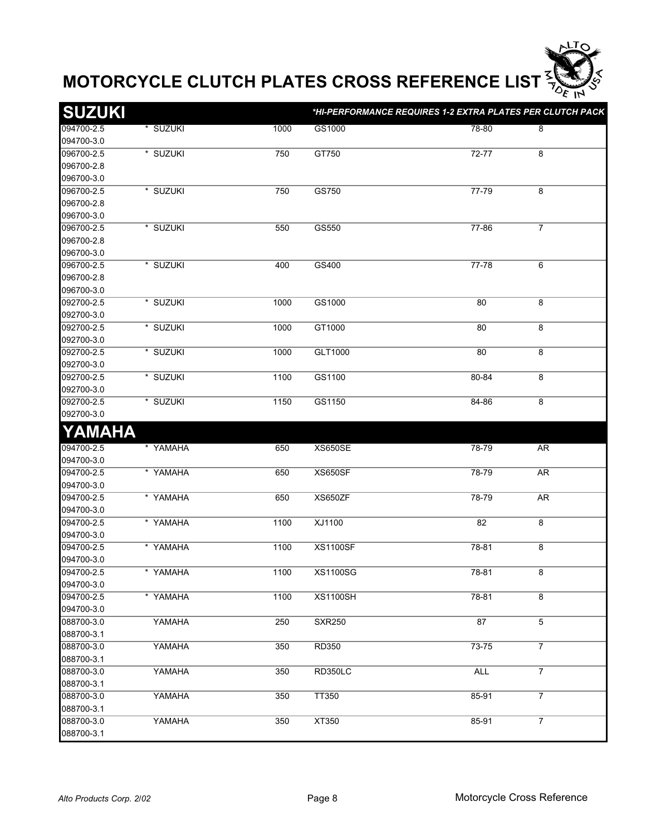

| <b>SUZUKI</b> |          |      | *HI-PERFORMANCE REQUIRES 1-2 EXTRA PLATES PER CLUTCH PACK |            |                |
|---------------|----------|------|-----------------------------------------------------------|------------|----------------|
| 094700-2.5    | * SUZUKI | 1000 | GS1000                                                    | 78-80      | 8              |
| 094700-3.0    |          |      |                                                           |            |                |
| 096700-2.5    | * SUZUKI | 750  | GT750                                                     | 72-77      | 8              |
| 096700-2.8    |          |      |                                                           |            |                |
| 096700-3.0    |          |      |                                                           |            |                |
| 096700-2.5    | * SUZUKI | 750  | GS750                                                     | 77-79      | 8              |
| 096700-2.8    |          |      |                                                           |            |                |
| 096700-3.0    |          |      |                                                           |            |                |
| 096700-2.5    | * SUZUKI | 550  | GS550                                                     | $77 - 86$  | $\overline{7}$ |
| 096700-2.8    |          |      |                                                           |            |                |
| 096700-3.0    |          |      |                                                           |            |                |
| 096700-2.5    | * SUZUKI | 400  | GS400                                                     | $77 - 78$  | 6              |
| 096700-2.8    |          |      |                                                           |            |                |
| 096700-3.0    |          |      |                                                           |            |                |
| 092700-2.5    | * SUZUKI | 1000 | GS1000                                                    | 80         | 8              |
| 092700-3.0    |          |      |                                                           |            |                |
| 092700-2.5    | * SUZUKI | 1000 | GT1000                                                    | 80         | 8              |
| 092700-3.0    |          |      |                                                           |            |                |
| 092700-2.5    | * SUZUKI | 1000 | GLT1000                                                   | 80         | 8              |
| 092700-3.0    |          |      |                                                           |            |                |
| 092700-2.5    | * SUZUKI | 1100 | GS1100                                                    | 80-84      | $\overline{8}$ |
| 092700-3.0    |          |      |                                                           |            |                |
| 092700-2.5    | * SUZUKI | 1150 | GS1150                                                    | 84-86      | 8              |
| 092700-3.0    |          |      |                                                           |            |                |
| YAMAHA        |          |      |                                                           |            |                |
| 094700-2.5    | * YAMAHA | 650  | <b>XS650SE</b>                                            | 78-79      | AR             |
| 094700-3.0    |          |      |                                                           |            |                |
| 094700-2.5    | * YAMAHA | 650  | <b>XS650SF</b>                                            | 78-79      | AR             |
| 094700-3.0    |          |      |                                                           |            |                |
| 094700-2.5    | * YAMAHA | 650  | XS650ZF                                                   | 78-79      | AR             |
| 094700-3.0    |          |      |                                                           |            |                |
| 094700-2.5    | * YAMAHA | 1100 | XJ1100                                                    | 82         | 8              |
| 094700-3.0    |          |      |                                                           |            |                |
| 094700-2.5    | * YAMAHA | 1100 | <b>XS1100SF</b>                                           | 78-81      | 8              |
| 094700-3.0    |          |      |                                                           |            |                |
| 094700-2.5    | * YAMAHA | 1100 | <b>XS1100SG</b>                                           | 78-81      | 8              |
| 094700-3.0    |          |      |                                                           |            |                |
| 094700-2.5    | * YAMAHA | 1100 | <b>XS1100SH</b>                                           | 78-81      | 8              |
| 094700-3.0    |          |      |                                                           |            |                |
| 088700-3.0    | YAMAHA   | 250  | <b>SXR250</b>                                             | 87         | 5              |
| 088700-3.1    |          |      |                                                           |            |                |
| 088700-3.0    | YAMAHA   | 350  | RD350                                                     | 73-75      | $\overline{7}$ |
| 088700-3.1    |          |      |                                                           |            |                |
| 088700-3.0    | YAMAHA   | 350  | RD350LC                                                   | <b>ALL</b> | $\overline{7}$ |
| 088700-3.1    |          |      |                                                           |            |                |
| 088700-3.0    | YAMAHA   | 350  | TT350                                                     | 85-91      | $\overline{7}$ |
| 088700-3.1    |          |      |                                                           |            |                |
| 088700-3.0    | YAMAHA   | 350  | XT350                                                     | 85-91      | $\overline{7}$ |
| 088700-3.1    |          |      |                                                           |            |                |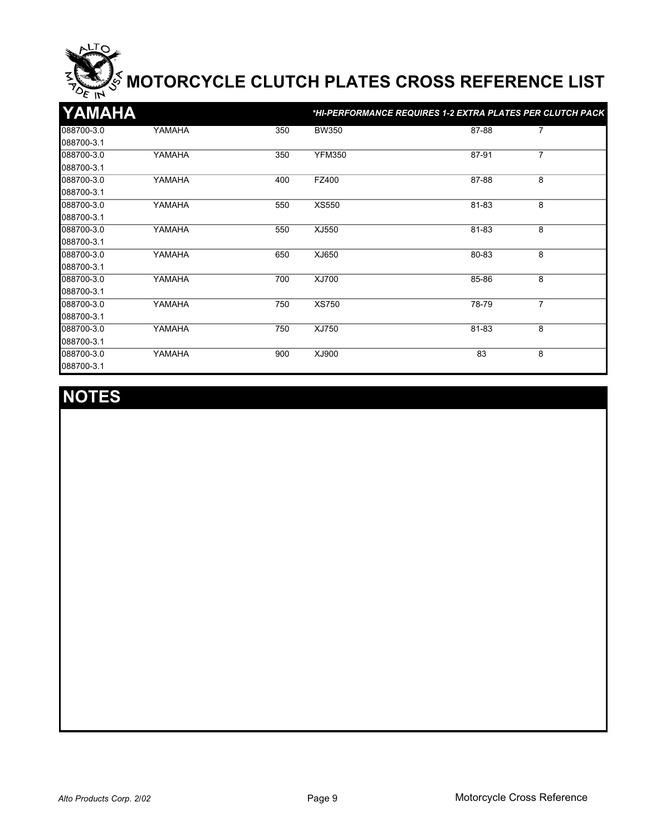| YAMAHA     |        |     |               | *HI-PERFORMANCE REQUIRES 1-2 EXTRA PLATES PER CLUTCH PACK |                |
|------------|--------|-----|---------------|-----------------------------------------------------------|----------------|
| 088700-3.0 | YAMAHA | 350 | <b>BW350</b>  | 87-88                                                     | $\overline{7}$ |
| 088700-3.1 |        |     |               |                                                           |                |
| 088700-3.0 | YAMAHA | 350 | <b>YFM350</b> | 87-91                                                     | 7              |
| 088700-3.1 |        |     |               |                                                           |                |
| 088700-3.0 | YAMAHA | 400 | FZ400         | 87-88                                                     | 8              |
| 088700-3.1 |        |     |               |                                                           |                |
| 088700-3.0 | YAMAHA | 550 | <b>XS550</b>  | 81-83                                                     | 8              |
| 088700-3.1 |        |     |               |                                                           |                |
| 088700-3.0 | YAMAHA | 550 | XJ550         | 81-83                                                     | 8              |
| 088700-3.1 |        |     |               |                                                           |                |
| 088700-3.0 | YAMAHA | 650 | XJ650         | 80-83                                                     | 8              |
| 088700-3.1 |        |     |               |                                                           |                |
| 088700-3.0 | YAMAHA | 700 | XJ700         | 85-86                                                     | 8              |
| 088700-3.1 |        |     |               |                                                           |                |
| 088700-3.0 | YAMAHA | 750 | <b>XS750</b>  | 78-79                                                     | $\overline{7}$ |
| 088700-3.1 |        |     |               |                                                           |                |
| 088700-3.0 | YAMAHA | 750 | XJ750         | 81-83                                                     | 8              |
| 088700-3.1 |        |     |               |                                                           |                |
| 088700-3.0 | YAMAHA | 900 | XJ900         | 83                                                        | 8              |
| 088700-3.1 |        |     |               |                                                           |                |

## **NOTES**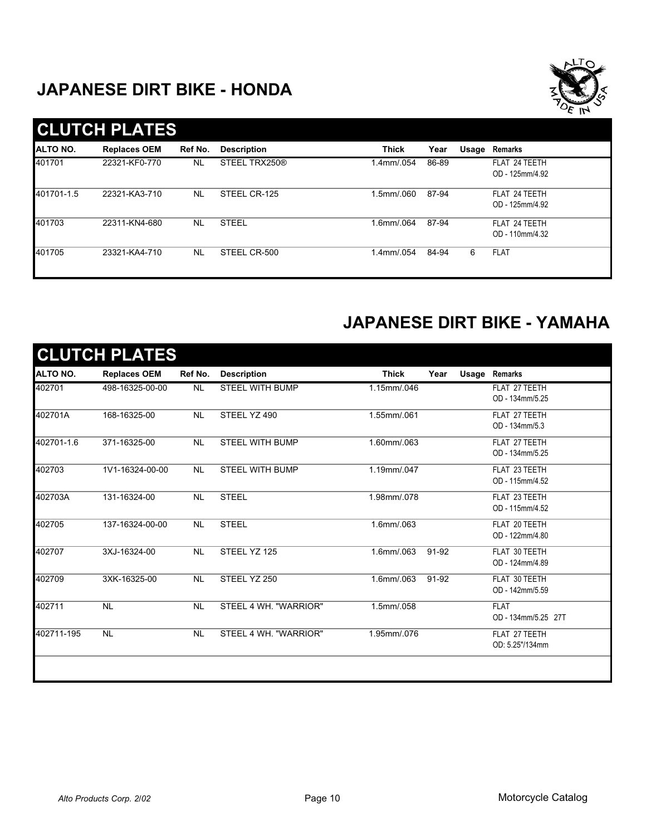## **JAPANESE DIRT BIKE - HONDA**



|                 | <b>CLUTCH PLATES</b> |           |                    |              |       |       |                                  |
|-----------------|----------------------|-----------|--------------------|--------------|-------|-------|----------------------------------|
| <b>ALTO NO.</b> | <b>Replaces OEM</b>  | Ref No.   | <b>Description</b> | <b>Thick</b> | Year  | Usage | Remarks                          |
| 401701          | 22321-KF0-770        | <b>NL</b> | STEEL TRX250®      | 1.4mm/.054   | 86-89 |       | FLAT 24 TEETH<br>OD - 125mm/4.92 |
| 401701-1.5      | 22321-KA3-710        | <b>NL</b> | STEEL CR-125       | .5mm/.060    | 87-94 |       | FLAT 24 TEETH<br>OD - 125mm/4.92 |
| 401703          | 22311-KN4-680        | <b>NL</b> | <b>STEEL</b>       | .6mm/.064    | 87-94 |       | FLAT 24 TEETH<br>OD - 110mm/4.32 |
| 401705          | 23321-KA4-710        | <b>NL</b> | STEEL CR-500       | 1.4mm/.054   | 84-94 | 6     | <b>FLAT</b>                      |

## **JAPANESE DIRT BIKE - YAMAHA**

| ALTO NO.   | <b>Replaces OEM</b> | Ref No.        | <b>Description</b>     | <b>Thick</b> | Year  | <b>Usage Remarks</b> |
|------------|---------------------|----------------|------------------------|--------------|-------|----------------------|
| 402701     | 498-16325-00-00     | N <sub>L</sub> | <b>STEEL WITH BUMP</b> | 1.15mm/.046  |       | FLAT 27 TEETH        |
|            |                     |                |                        |              |       | OD - 134mm/5.25      |
| 402701A    | 168-16325-00        | <b>NL</b>      | STEEL YZ 490           | 1.55mm/.061  |       | FLAT 27 TEETH        |
|            |                     |                |                        |              |       | OD - 134mm/5.3       |
| 402701-1.6 | 371-16325-00        | <b>NL</b>      | <b>STEEL WITH BUMP</b> | 1.60mm/.063  |       | FLAT 27 TEETH        |
|            |                     |                |                        |              |       | OD - 134mm/5.25      |
| 402703     | 1V1-16324-00-00     | <b>NL</b>      | <b>STEEL WITH BUMP</b> | 1.19mm/.047  |       | FLAT 23 TEETH        |
|            |                     |                |                        |              |       | OD - 115mm/4.52      |
| 402703A    | 131-16324-00        | <b>NL</b>      | <b>STEEL</b>           | 1.98mm/.078  |       | FLAT 23 TEETH        |
|            |                     |                |                        |              |       | OD - 115mm/4.52      |
| 402705     | 137-16324-00-00     | <b>NL</b>      | <b>STEEL</b>           | 1.6mm/.063   |       | FLAT 20 TEETH        |
|            |                     |                |                        |              |       | OD - 122mm/4.80      |
| 402707     | 3XJ-16324-00        | <b>NL</b>      | STEEL YZ 125           | 1.6mm/.063   | 91-92 | FLAT 30 TEETH        |
|            |                     |                |                        |              |       | OD - 124mm/4.89      |
| 402709     | 3XK-16325-00        | <b>NL</b>      | STEEL YZ 250           | 1.6mm/.063   | 91-92 | FLAT 30 TEETH        |
|            |                     |                |                        |              |       | OD - 142mm/5.59      |
| 402711     | <b>NL</b>           | <b>NL</b>      | STEEL 4 WH. "WARRIOR"  | 1.5mm/.058   |       | <b>FLAT</b>          |
|            |                     |                |                        |              |       | OD - 134mm/5.25 27T  |
| 402711-195 | <b>NL</b>           | <b>NL</b>      | STEEL 4 WH. "WARRIOR"  | 1.95mm/.076  |       | FLAT 27 TEETH        |
|            |                     |                |                        |              |       | OD: 5.25"/134mm      |